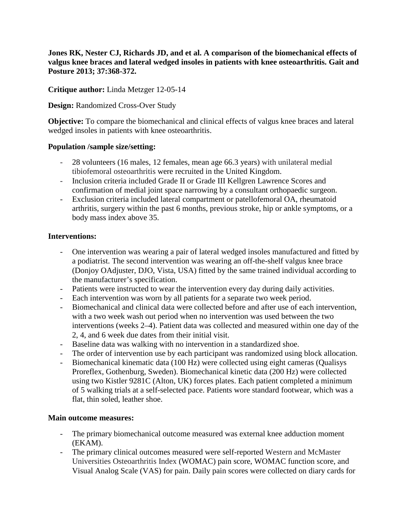**Jones RK, Nester CJ, Richards JD, and et al. A comparison of the biomechanical effects of valgus knee braces and lateral wedged insoles in patients with knee osteoarthritis. Gait and Posture 2013; 37:368-372.**

**Critique author:** Linda Metzger 12-05-14

**Design:** Randomized Cross-Over Study

**Objective:** To compare the biomechanical and clinical effects of valgus knee braces and lateral wedged insoles in patients with knee osteoarthritis.

### **Population /sample size/setting:**

- 28 volunteers (16 males, 12 females, mean age 66.3 years) with unilateral medial tibiofemoral osteoarthritis were recruited in the United Kingdom.
- Inclusion criteria included Grade II or Grade III Kellgren Lawrence Scores and confirmation of medial joint space narrowing by a consultant orthopaedic surgeon.
- Exclusion criteria included lateral compartment or patellofemoral OA, rheumatoid arthritis, surgery within the past 6 months, previous stroke, hip or ankle symptoms, or a body mass index above 35.

# **Interventions:**

- One intervention was wearing a pair of lateral wedged insoles manufactured and fitted by a podiatrist. The second intervention was wearing an off-the-shelf valgus knee brace (Donjoy OAdjuster, DJO, Vista, USA) fitted by the same trained individual according to the manufacturer's specification.
- Patients were instructed to wear the intervention every day during daily activities.
- Each intervention was worn by all patients for a separate two week period.
- Biomechanical and clinical data were collected before and after use of each intervention, with a two week wash out period when no intervention was used between the two interventions (weeks 2–4). Patient data was collected and measured within one day of the 2, 4, and 6 week due dates from their initial visit.
- Baseline data was walking with no intervention in a standardized shoe.
- The order of intervention use by each participant was randomized using block allocation.
- Biomechanical kinematic data (100 Hz) were collected using eight cameras (Qualisys Proreflex, Gothenburg, Sweden). Biomechanical kinetic data (200 Hz) were collected using two Kistler 9281C (Alton, UK) forces plates. Each patient completed a minimum of 5 walking trials at a self-selected pace. Patients wore standard footwear, which was a flat, thin soled, leather shoe.

#### **Main outcome measures:**

- The primary biomechanical outcome measured was external knee adduction moment (EKAM).
- The primary clinical outcomes measured were self-reported Western and McMaster Universities Osteoarthritis Index (WOMAC) pain score, WOMAC function score, and Visual Analog Scale (VAS) for pain. Daily pain scores were collected on diary cards for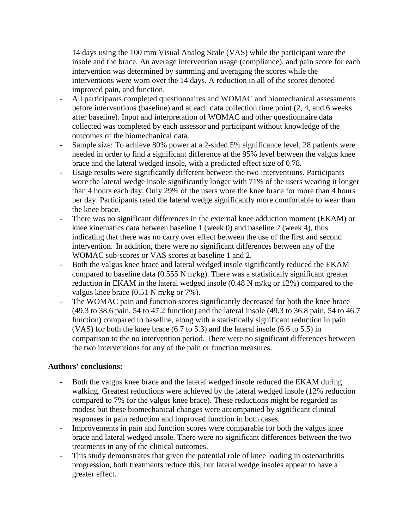14 days using the 100 mm Visual Analog Scale (VAS) while the participant wore the insole and the brace. An average intervention usage (compliance), and pain score for each intervention was determined by summing and averaging the scores while the interventions were worn over the 14 days. A reduction in all of the scores denoted improved pain, and function.

- All participants completed questionnaires and WOMAC and biomechanical assessments before interventions (baseline) and at each data collection time point (2, 4, and 6 weeks after baseline). Input and interpretation of WOMAC and other questionnaire data collected was completed by each assessor and participant without knowledge of the outcomes of the biomechanical data.
- Sample size: To achieve 80% power at a 2-sided 5% significance level, 28 patients were needed in order to find a significant difference at the 95% level between the valgus knee brace and the lateral wedged insole, with a predicted effect size of 0.78.
- Usage results were significantly different between the two interventions. Participants wore the lateral wedge insole significantly longer with 71% of the users wearing it longer than 4 hours each day. Only 29% of the users wore the knee brace for more than 4 hours per day. Participants rated the lateral wedge significantly more comfortable to wear than the knee brace.
- There was no significant differences in the external knee adduction moment (EKAM) or knee kinematics data between baseline 1 (week 0) and baseline 2 (week 4), thus indicating that there was no carry over effect between the use of the first and second intervention. In addition, there were no significant differences between any of the WOMAC sub-scores or VAS scores at baseline 1 and 2.
- Both the valgus knee brace and lateral wedged insole significantly reduced the EKAM compared to baseline data (0.555 N m/kg). There was a statistically significant greater reduction in EKAM in the lateral wedged insole (0.48 N m/kg or 12%) compared to the valgus knee brace (0.51 N m/kg or 7%).
- The WOMAC pain and function scores significantly decreased for both the knee brace (49.3 to 38.6 pain, 54 to 47.2 function) and the lateral insole (49.3 to 36.8 pain, 54 to 46.7 function) compared to baseline, along with a statistically significant reduction in pain (VAS) for both the knee brace (6.7 to 5.3) and the lateral insole (6.6 to 5.5) in comparison to the no intervention period. There were no significant differences between the two interventions for any of the pain or function measures.

# **Authors' conclusions:**

- Both the valgus knee brace and the lateral wedged insole reduced the EKAM during walking. Greatest reductions were achieved by the lateral wedged insole (12% reduction compared to 7% for the valgus knee brace). These reductions might be regarded as modest but these biomechanical changes were accompanied by significant clinical responses in pain reduction and improved function in both cases.
- Improvements in pain and function scores were comparable for both the valgus knee brace and lateral wedged insole. There were no significant differences between the two treatments in any of the clinical outcomes.
- This study demonstrates that given the potential role of knee loading in osteoarthritis progression, both treatments reduce this, but lateral wedge insoles appear to have a greater effect.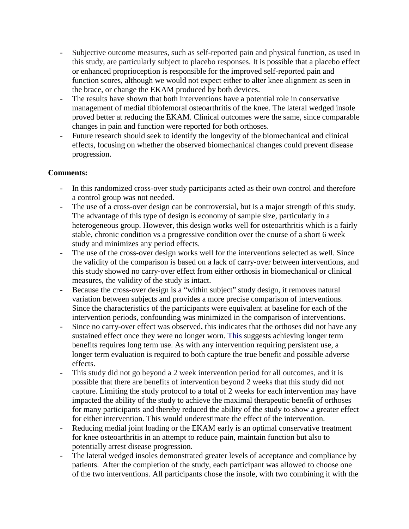- Subjective outcome measures, such as self-reported pain and physical function, as used in this study, are particularly subject to placebo responses. It is possible that a placebo effect or enhanced proprioception is responsible for the improved self-reported pain and function scores, although we would not expect either to alter knee alignment as seen in the brace, or change the EKAM produced by both devices.
- The results have shown that both interventions have a potential role in conservative management of medial tibiofemoral osteoarthritis of the knee. The lateral wedged insole proved better at reducing the EKAM. Clinical outcomes were the same, since comparable changes in pain and function were reported for both orthoses.
- Future research should seek to identify the longevity of the biomechanical and clinical effects, focusing on whether the observed biomechanical changes could prevent disease progression.

# **Comments:**

- In this randomized cross-over study participants acted as their own control and therefore a control group was not needed.
- The use of a cross-over design can be controversial, but is a major strength of this study. The advantage of this type of design is economy of sample size, particularly in a heterogeneous group. However, this design works well for osteoarthritis which is a fairly stable, chronic condition vs a progressive condition over the course of a short 6 week study and minimizes any period effects.
- The use of the cross-over design works well for the interventions selected as well. Since the validity of the comparison is based on a lack of carry-over between interventions, and this study showed no carry-over effect from either orthosis in biomechanical or clinical measures, the validity of the study is intact.
- Because the cross-over design is a "within subject" study design, it removes natural variation between subjects and provides a more precise comparison of interventions. Since the characteristics of the participants were equivalent at baseline for each of the intervention periods, confounding was minimized in the comparison of interventions.
- Since no carry-over effect was observed, this indicates that the orthoses did not have any sustained effect once they were no longer worn. This suggests achieving longer term benefits requires long term use. As with any intervention requiring persistent use, a longer term evaluation is required to both capture the true benefit and possible adverse effects.
- This study did not go beyond a 2 week intervention period for all outcomes, and it is possible that there are benefits of intervention beyond 2 weeks that this study did not capture. Limiting the study protocol to a total of 2 weeks for each intervention may have impacted the ability of the study to achieve the maximal therapeutic benefit of orthoses for many participants and thereby reduced the ability of the study to show a greater effect for either intervention. This would underestimate the effect of the intervention.
- Reducing medial joint loading or the EKAM early is an optimal conservative treatment for knee osteoarthritis in an attempt to reduce pain, maintain function but also to potentially arrest disease progression.
- The lateral wedged insoles demonstrated greater levels of acceptance and compliance by patients. After the completion of the study, each participant was allowed to choose one of the two interventions. All participants chose the insole, with two combining it with the